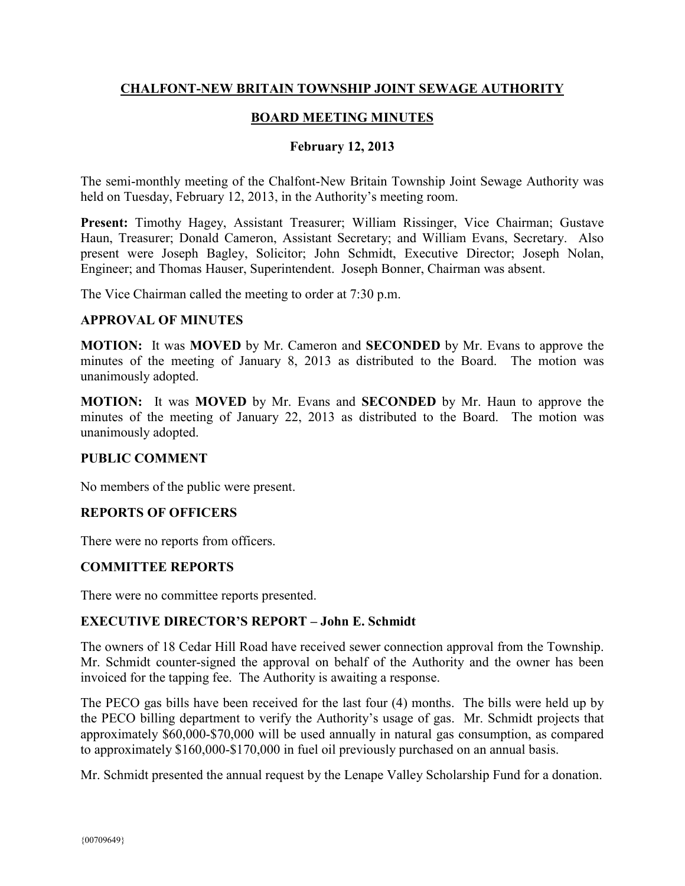## **CHALFONT-NEW BRITAIN TOWNSHIP JOINT SEWAGE AUTHORITY**

### **BOARD MEETING MINUTES**

#### **February 12, 2013**

The semi-monthly meeting of the Chalfont-New Britain Township Joint Sewage Authority was held on Tuesday, February 12, 2013, in the Authority's meeting room.

**Present:** Timothy Hagey, Assistant Treasurer; William Rissinger, Vice Chairman; Gustave Haun, Treasurer; Donald Cameron, Assistant Secretary; and William Evans, Secretary. Also present were Joseph Bagley, Solicitor; John Schmidt, Executive Director; Joseph Nolan, Engineer; and Thomas Hauser, Superintendent. Joseph Bonner, Chairman was absent.

The Vice Chairman called the meeting to order at 7:30 p.m.

#### **APPROVAL OF MINUTES**

**MOTION:** It was **MOVED** by Mr. Cameron and **SECONDED** by Mr. Evans to approve the minutes of the meeting of January 8, 2013 as distributed to the Board. The motion was unanimously adopted.

**MOTION:** It was **MOVED** by Mr. Evans and **SECONDED** by Mr. Haun to approve the minutes of the meeting of January 22, 2013 as distributed to the Board. The motion was unanimously adopted.

#### **PUBLIC COMMENT**

No members of the public were present.

### **REPORTS OF OFFICERS**

There were no reports from officers.

### **COMMITTEE REPORTS**

There were no committee reports presented.

### **EXECUTIVE DIRECTOR'S REPORT – John E. Schmidt**

The owners of 18 Cedar Hill Road have received sewer connection approval from the Township. Mr. Schmidt counter-signed the approval on behalf of the Authority and the owner has been invoiced for the tapping fee. The Authority is awaiting a response.

The PECO gas bills have been received for the last four (4) months. The bills were held up by the PECO billing department to verify the Authority's usage of gas. Mr. Schmidt projects that approximately \$60,000-\$70,000 will be used annually in natural gas consumption, as compared to approximately \$160,000-\$170,000 in fuel oil previously purchased on an annual basis.

Mr. Schmidt presented the annual request by the Lenape Valley Scholarship Fund for a donation.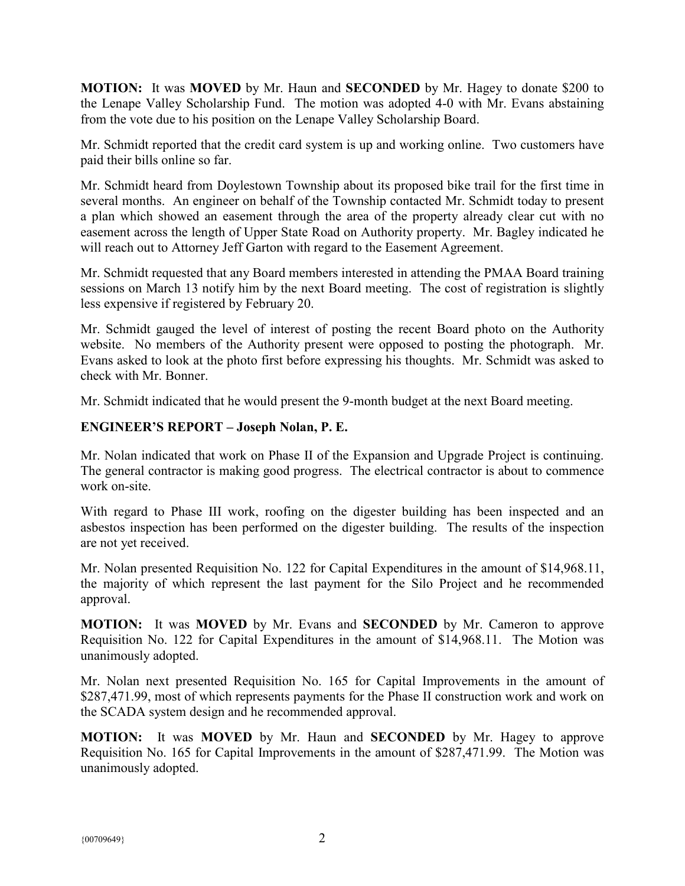**MOTION:** It was **MOVED** by Mr. Haun and **SECONDED** by Mr. Hagey to donate \$200 to the Lenape Valley Scholarship Fund. The motion was adopted 4-0 with Mr. Evans abstaining from the vote due to his position on the Lenape Valley Scholarship Board.

Mr. Schmidt reported that the credit card system is up and working online. Two customers have paid their bills online so far.

Mr. Schmidt heard from Doylestown Township about its proposed bike trail for the first time in several months. An engineer on behalf of the Township contacted Mr. Schmidt today to present a plan which showed an easement through the area of the property already clear cut with no easement across the length of Upper State Road on Authority property. Mr. Bagley indicated he will reach out to Attorney Jeff Garton with regard to the Easement Agreement.

Mr. Schmidt requested that any Board members interested in attending the PMAA Board training sessions on March 13 notify him by the next Board meeting. The cost of registration is slightly less expensive if registered by February 20.

Mr. Schmidt gauged the level of interest of posting the recent Board photo on the Authority website. No members of the Authority present were opposed to posting the photograph. Mr. Evans asked to look at the photo first before expressing his thoughts. Mr. Schmidt was asked to check with Mr. Bonner.

Mr. Schmidt indicated that he would present the 9-month budget at the next Board meeting.

## **ENGINEER'S REPORT – Joseph Nolan, P. E.**

Mr. Nolan indicated that work on Phase II of the Expansion and Upgrade Project is continuing. The general contractor is making good progress. The electrical contractor is about to commence work on-site.

With regard to Phase III work, roofing on the digester building has been inspected and an asbestos inspection has been performed on the digester building. The results of the inspection are not yet received.

Mr. Nolan presented Requisition No. 122 for Capital Expenditures in the amount of \$14,968.11, the majority of which represent the last payment for the Silo Project and he recommended approval.

**MOTION:** It was **MOVED** by Mr. Evans and **SECONDED** by Mr. Cameron to approve Requisition No. 122 for Capital Expenditures in the amount of \$14,968.11. The Motion was unanimously adopted.

Mr. Nolan next presented Requisition No. 165 for Capital Improvements in the amount of \$287,471.99, most of which represents payments for the Phase II construction work and work on the SCADA system design and he recommended approval.

**MOTION:** It was **MOVED** by Mr. Haun and **SECONDED** by Mr. Hagey to approve Requisition No. 165 for Capital Improvements in the amount of \$287,471.99. The Motion was unanimously adopted.